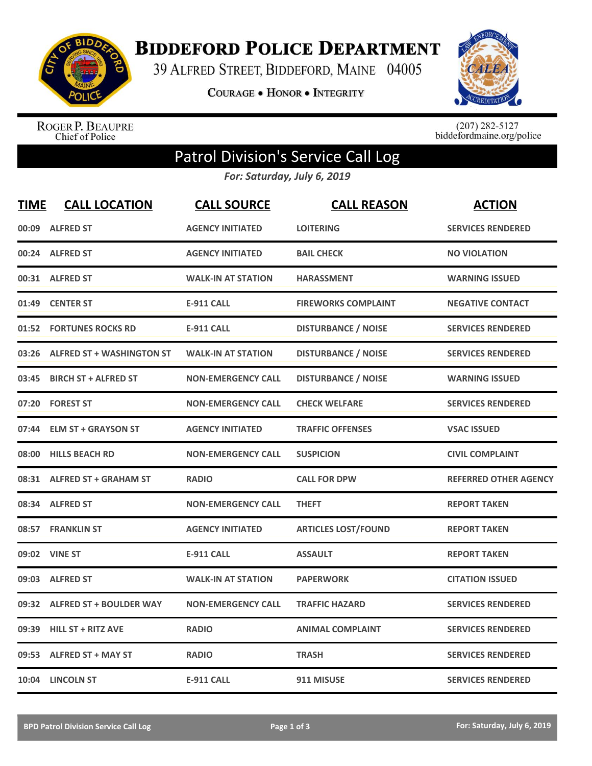

**BIDDEFORD POLICE DEPARTMENT** 

39 ALFRED STREET, BIDDEFORD, MAINE 04005

COURAGE . HONOR . INTEGRITY



ROGER P. BEAUPRE<br>Chief of Police

 $(207)$  282-5127<br>biddefordmaine.org/police

## Patrol Division's Service Call Log

*For: Saturday, July 6, 2019*

| <b>TIME</b> | <b>CALL LOCATION</b>            | <b>CALL SOURCE</b>        | <b>CALL REASON</b>         | <b>ACTION</b>                |
|-------------|---------------------------------|---------------------------|----------------------------|------------------------------|
|             | 00:09 ALFRED ST                 | <b>AGENCY INITIATED</b>   | <b>LOITERING</b>           | <b>SERVICES RENDERED</b>     |
|             | 00:24 ALFRED ST                 | <b>AGENCY INITIATED</b>   | <b>BAIL CHECK</b>          | <b>NO VIOLATION</b>          |
|             | 00:31 ALFRED ST                 | <b>WALK-IN AT STATION</b> | <b>HARASSMENT</b>          | <b>WARNING ISSUED</b>        |
| 01:49       | <b>CENTER ST</b>                | <b>E-911 CALL</b>         | <b>FIREWORKS COMPLAINT</b> | <b>NEGATIVE CONTACT</b>      |
| 01:52       | <b>FORTUNES ROCKS RD</b>        | <b>E-911 CALL</b>         | <b>DISTURBANCE / NOISE</b> | <b>SERVICES RENDERED</b>     |
|             | 03:26 ALFRED ST + WASHINGTON ST | <b>WALK-IN AT STATION</b> | <b>DISTURBANCE / NOISE</b> | <b>SERVICES RENDERED</b>     |
| 03:45       | <b>BIRCH ST + ALFRED ST</b>     | <b>NON-EMERGENCY CALL</b> | <b>DISTURBANCE / NOISE</b> | <b>WARNING ISSUED</b>        |
| 07:20       | <b>FOREST ST</b>                | <b>NON-EMERGENCY CALL</b> | <b>CHECK WELFARE</b>       | <b>SERVICES RENDERED</b>     |
| 07:44       | <b>ELM ST + GRAYSON ST</b>      | <b>AGENCY INITIATED</b>   | <b>TRAFFIC OFFENSES</b>    | <b>VSAC ISSUED</b>           |
| 08:00       | <b>HILLS BEACH RD</b>           | <b>NON-EMERGENCY CALL</b> | <b>SUSPICION</b>           | <b>CIVIL COMPLAINT</b>       |
|             | 08:31 ALFRED ST + GRAHAM ST     | <b>RADIO</b>              | <b>CALL FOR DPW</b>        | <b>REFERRED OTHER AGENCY</b> |
| 08:34       | <b>ALFRED ST</b>                | <b>NON-EMERGENCY CALL</b> | <b>THEFT</b>               | <b>REPORT TAKEN</b>          |
|             | 08:57 FRANKLIN ST               | <b>AGENCY INITIATED</b>   | <b>ARTICLES LOST/FOUND</b> | <b>REPORT TAKEN</b>          |
| 09:02       | <b>VINE ST</b>                  | <b>E-911 CALL</b>         | <b>ASSAULT</b>             | <b>REPORT TAKEN</b>          |
| 09:03       | <b>ALFRED ST</b>                | <b>WALK-IN AT STATION</b> | <b>PAPERWORK</b>           | <b>CITATION ISSUED</b>       |
| 09:32       | <b>ALFRED ST + BOULDER WAY</b>  | <b>NON-EMERGENCY CALL</b> | <b>TRAFFIC HAZARD</b>      | <b>SERVICES RENDERED</b>     |
| 09:39       | <b>HILL ST + RITZ AVE</b>       | <b>RADIO</b>              | <b>ANIMAL COMPLAINT</b>    | <b>SERVICES RENDERED</b>     |
| 09:53       | <b>ALFRED ST + MAY ST</b>       | <b>RADIO</b>              | <b>TRASH</b>               | <b>SERVICES RENDERED</b>     |
|             | 10:04 LINCOLN ST                | <b>E-911 CALL</b>         | 911 MISUSE                 | <b>SERVICES RENDERED</b>     |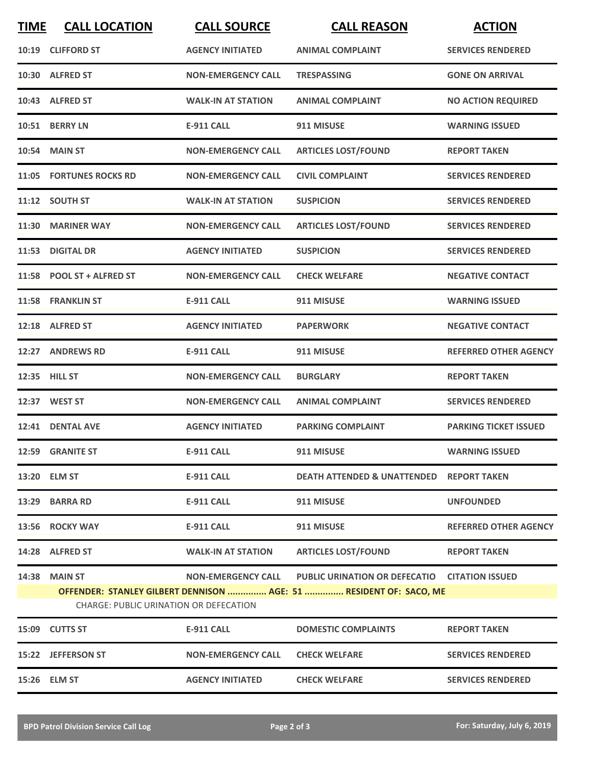| <b>TIME</b> | <b>CALL LOCATION</b>                                                  | <b>CALL SOURCE</b>        | <b>CALL REASON</b>                                                                                                  | <b>ACTION</b>                |
|-------------|-----------------------------------------------------------------------|---------------------------|---------------------------------------------------------------------------------------------------------------------|------------------------------|
|             | 10:19 CLIFFORD ST                                                     | <b>AGENCY INITIATED</b>   | <b>ANIMAL COMPLAINT</b>                                                                                             | <b>SERVICES RENDERED</b>     |
|             | 10:30 ALFRED ST                                                       | <b>NON-EMERGENCY CALL</b> | <b>TRESPASSING</b>                                                                                                  | <b>GONE ON ARRIVAL</b>       |
|             | 10:43 ALFRED ST                                                       | <b>WALK-IN AT STATION</b> | <b>ANIMAL COMPLAINT</b>                                                                                             | <b>NO ACTION REQUIRED</b>    |
|             | 10:51 BERRY LN                                                        | <b>E-911 CALL</b>         | 911 MISUSE                                                                                                          | <b>WARNING ISSUED</b>        |
|             | <b>10:54 MAIN ST</b>                                                  | <b>NON-EMERGENCY CALL</b> | <b>ARTICLES LOST/FOUND</b>                                                                                          | <b>REPORT TAKEN</b>          |
|             | 11:05 FORTUNES ROCKS RD                                               | <b>NON-EMERGENCY CALL</b> | <b>CIVIL COMPLAINT</b>                                                                                              | <b>SERVICES RENDERED</b>     |
|             | 11:12 SOUTH ST                                                        | <b>WALK-IN AT STATION</b> | <b>SUSPICION</b>                                                                                                    | <b>SERVICES RENDERED</b>     |
|             | 11:30 MARINER WAY                                                     | <b>NON-EMERGENCY CALL</b> | <b>ARTICLES LOST/FOUND</b>                                                                                          | <b>SERVICES RENDERED</b>     |
| 11:53       | <b>DIGITAL DR</b>                                                     | <b>AGENCY INITIATED</b>   | <b>SUSPICION</b>                                                                                                    | <b>SERVICES RENDERED</b>     |
|             | 11:58 POOL ST + ALFRED ST                                             | <b>NON-EMERGENCY CALL</b> | <b>CHECK WELFARE</b>                                                                                                | <b>NEGATIVE CONTACT</b>      |
|             | 11:58 FRANKLIN ST                                                     | <b>E-911 CALL</b>         | 911 MISUSE                                                                                                          | <b>WARNING ISSUED</b>        |
|             | 12:18 ALFRED ST                                                       | <b>AGENCY INITIATED</b>   | <b>PAPERWORK</b>                                                                                                    | <b>NEGATIVE CONTACT</b>      |
|             | 12:27 ANDREWS RD                                                      | E-911 CALL                | 911 MISUSE                                                                                                          | <b>REFERRED OTHER AGENCY</b> |
|             | 12:35 HILL ST                                                         | <b>NON-EMERGENCY CALL</b> | <b>BURGLARY</b>                                                                                                     | <b>REPORT TAKEN</b>          |
|             | 12:37 WEST ST                                                         | <b>NON-EMERGENCY CALL</b> | <b>ANIMAL COMPLAINT</b>                                                                                             | <b>SERVICES RENDERED</b>     |
|             | 12:41 DENTAL AVE                                                      | <b>AGENCY INITIATED</b>   | <b>PARKING COMPLAINT</b>                                                                                            | <b>PARKING TICKET ISSUED</b> |
|             | 12:59 GRANITE ST                                                      | <b>E-911 CALL</b>         | 911 MISUSE                                                                                                          | <b>WARNING ISSUED</b>        |
|             | 13:20 ELM ST                                                          | <b>E-911 CALL</b>         | <b>DEATH ATTENDED &amp; UNATTENDED REPORT TAKEN</b>                                                                 |                              |
|             | 13:29 BARRA RD                                                        | <b>E-911 CALL</b>         | 911 MISUSE                                                                                                          | <b>UNFOUNDED</b>             |
|             | 13:56 ROCKY WAY                                                       | E-911 CALL                | 911 MISUSE                                                                                                          | <b>REFERRED OTHER AGENCY</b> |
|             | 14:28 ALFRED ST                                                       | <b>WALK-IN AT STATION</b> | <b>ARTICLES LOST/FOUND</b>                                                                                          | <b>REPORT TAKEN</b>          |
|             | <b>14:38 MAIN ST</b><br><b>CHARGE: PUBLIC URINATION OR DEFECATION</b> | <b>NON-EMERGENCY CALL</b> | PUBLIC URINATION OR DEFECATIO CITATION ISSUED<br>OFFENDER: STANLEY GILBERT DENNISON  AGE: 51  RESIDENT OF: SACO, ME |                              |
|             | 15:09 CUTTS ST                                                        | <b>E-911 CALL</b>         | <b>DOMESTIC COMPLAINTS</b>                                                                                          | <b>REPORT TAKEN</b>          |
|             | 15:22 JEFFERSON ST                                                    | <b>NON-EMERGENCY CALL</b> | <b>CHECK WELFARE</b>                                                                                                | <b>SERVICES RENDERED</b>     |
|             | 15:26 ELM ST                                                          | <b>AGENCY INITIATED</b>   | <b>CHECK WELFARE</b>                                                                                                | <b>SERVICES RENDERED</b>     |